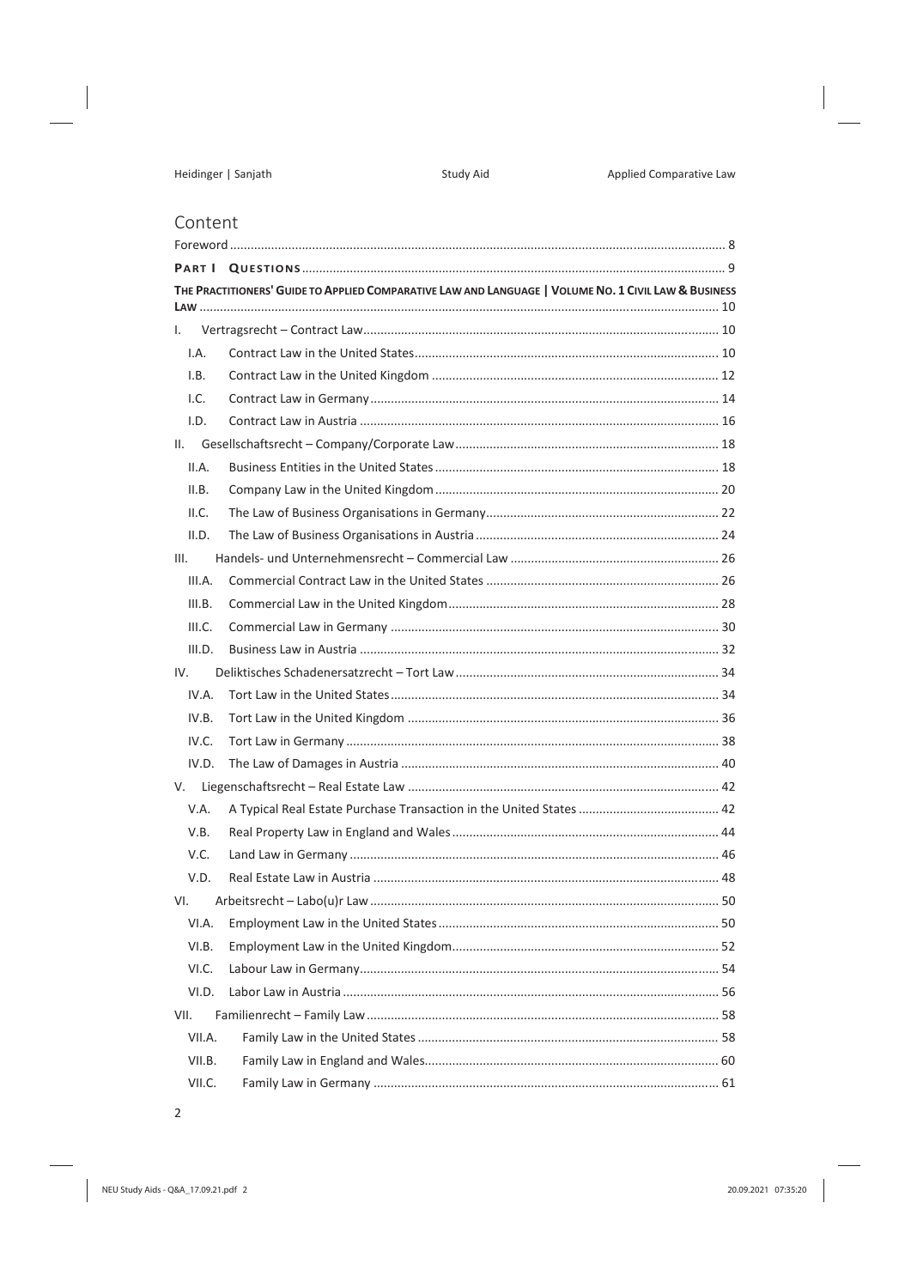## Content

|        | THE PRACTITIONERS' GUIDE TO APPLIED COMPARATIVE LAW AND LANGUAGE   VOLUME NO. 1 CIVIL LAW & BUSINESS |    |
|--------|------------------------------------------------------------------------------------------------------|----|
|        |                                                                                                      |    |
| L.     |                                                                                                      |    |
| I.A.   |                                                                                                      |    |
| I.B.   |                                                                                                      |    |
| L.C.   |                                                                                                      |    |
| I.D.   |                                                                                                      |    |
|        |                                                                                                      |    |
| II.A.  |                                                                                                      |    |
| II.B.  |                                                                                                      |    |
| II.C.  |                                                                                                      |    |
| II.D.  |                                                                                                      |    |
| III.   |                                                                                                      |    |
| III.A. |                                                                                                      |    |
| III.B. |                                                                                                      |    |
| III.C. |                                                                                                      |    |
| III.D. |                                                                                                      |    |
| IV.    |                                                                                                      |    |
| IV.A.  |                                                                                                      |    |
| IV.B.  |                                                                                                      |    |
| IV.C.  |                                                                                                      |    |
| IV.D.  |                                                                                                      |    |
|        |                                                                                                      |    |
| V.A.   |                                                                                                      |    |
| V.B.   |                                                                                                      |    |
| V.C.   |                                                                                                      |    |
| V.D.   |                                                                                                      |    |
| VI.    |                                                                                                      |    |
|        |                                                                                                      | 50 |
| VI.B.  |                                                                                                      |    |
| VI.C.  |                                                                                                      |    |
| VI.D.  |                                                                                                      |    |
| VII.   |                                                                                                      |    |
| VII.A. |                                                                                                      |    |
| VII.B. |                                                                                                      |    |
| VII.C. |                                                                                                      |    |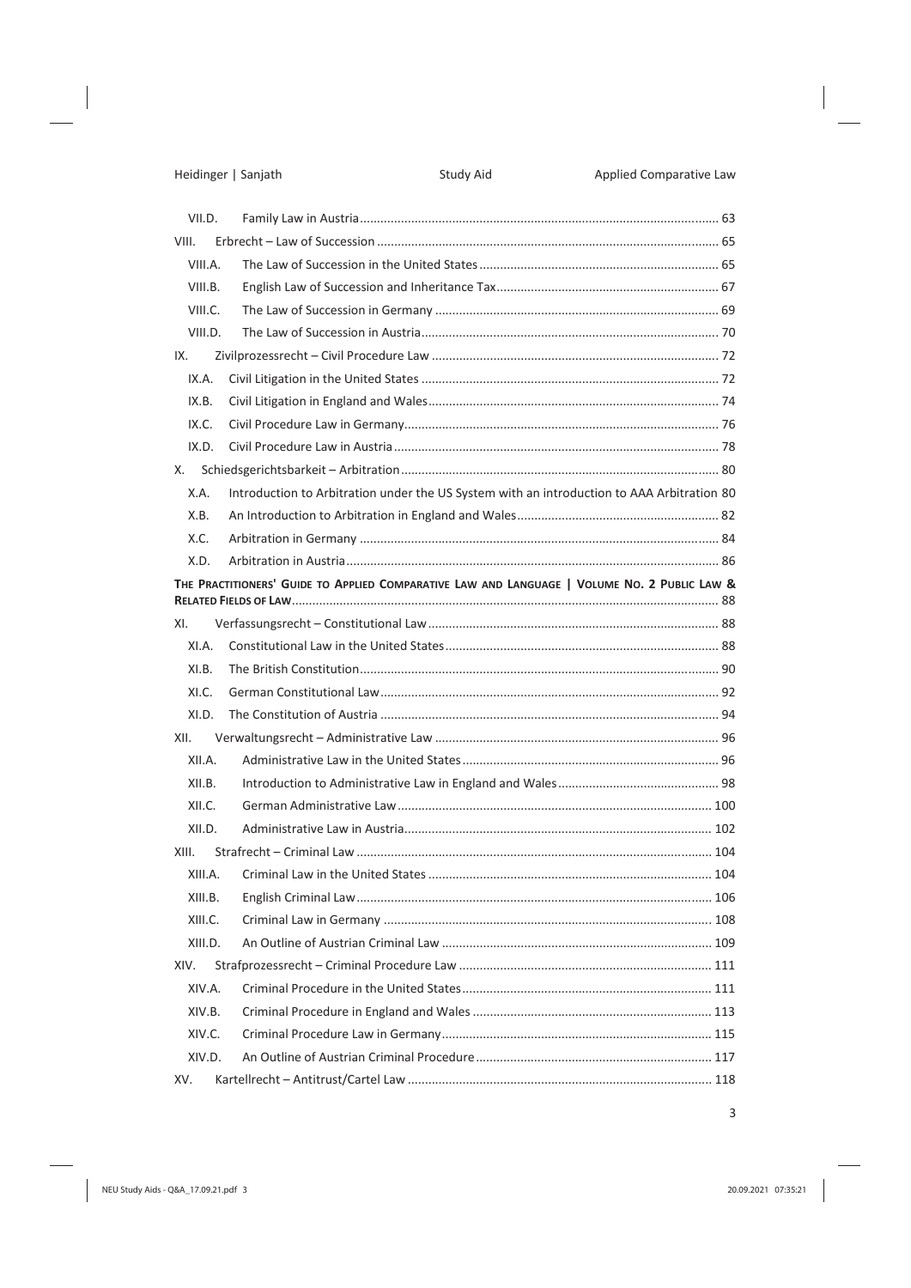|       | VII.D.  |                                                                                              |     |
|-------|---------|----------------------------------------------------------------------------------------------|-----|
| VIII. |         |                                                                                              |     |
|       | VIII.A. |                                                                                              |     |
|       | VIII.B. |                                                                                              |     |
|       | VIII.C. |                                                                                              |     |
|       | VIII.D. |                                                                                              |     |
| IX.   |         |                                                                                              |     |
|       | IX.A.   |                                                                                              |     |
|       | IX.B.   |                                                                                              |     |
|       | IX.C.   |                                                                                              |     |
|       | IX.D.   |                                                                                              |     |
| X.    |         |                                                                                              |     |
|       | X.A.    | Introduction to Arbitration under the US System with an introduction to AAA Arbitration 80   |     |
|       | X.B.    |                                                                                              |     |
|       | X.C.    |                                                                                              |     |
|       | X.D.    |                                                                                              |     |
|       |         | THE PRACTITIONERS' GUIDE TO APPLIED COMPARATIVE LAW AND LANGUAGE   VOLUME NO. 2 PUBLIC LAW & |     |
|       |         |                                                                                              |     |
| XI.   |         |                                                                                              |     |
|       | XI.A.   |                                                                                              |     |
|       | XI.B.   |                                                                                              |     |
|       | XL.C.   |                                                                                              |     |
|       | XI.D.   |                                                                                              |     |
| XII.  |         |                                                                                              |     |
|       | XII.A.  |                                                                                              |     |
|       | XII.B.  |                                                                                              |     |
|       | XII.C.  |                                                                                              |     |
|       | XII.D.  |                                                                                              |     |
| XIII. |         |                                                                                              |     |
|       | XIII.A. |                                                                                              |     |
|       | XIII.B. |                                                                                              | 106 |
|       | XIII.C. |                                                                                              |     |
|       | XIII.D. |                                                                                              |     |
| XIV.  |         |                                                                                              |     |
|       | XIV.A.  |                                                                                              |     |
|       | XIV.B.  |                                                                                              |     |
|       | XIV.C.  |                                                                                              |     |
|       | XIV.D.  |                                                                                              |     |
| XV.   |         |                                                                                              |     |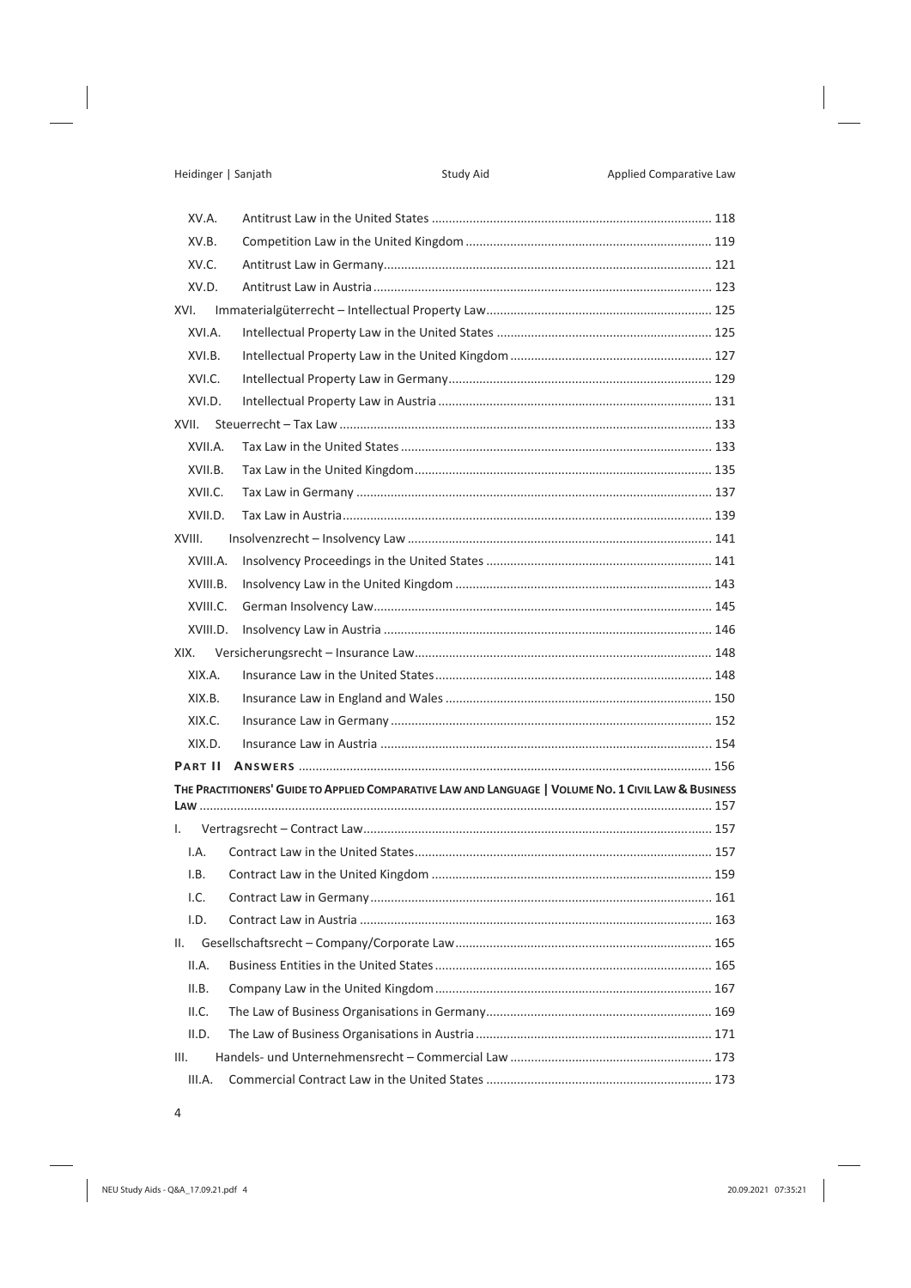| XV.A.    |                                                                                                      |     |
|----------|------------------------------------------------------------------------------------------------------|-----|
| XV.B.    |                                                                                                      |     |
| XV.C.    |                                                                                                      |     |
| XV.D.    |                                                                                                      |     |
| XVI.     |                                                                                                      |     |
| XVI.A.   |                                                                                                      |     |
| XVI.B.   |                                                                                                      |     |
| XVI.C.   |                                                                                                      |     |
| XVI.D.   |                                                                                                      |     |
| XVII.    |                                                                                                      |     |
| XVII.A.  |                                                                                                      |     |
| XVII.B.  |                                                                                                      |     |
| XVII.C.  |                                                                                                      |     |
| XVII.D.  |                                                                                                      |     |
| XVIII.   |                                                                                                      |     |
| XVIII.A. |                                                                                                      |     |
| XVIII.B. |                                                                                                      |     |
| XVIII.C. |                                                                                                      |     |
| XVIII.D. |                                                                                                      |     |
| XIX.     |                                                                                                      |     |
| XIX.A.   |                                                                                                      |     |
| XIX.B.   |                                                                                                      |     |
| XIX.C.   |                                                                                                      |     |
| XIX.D.   |                                                                                                      |     |
|          |                                                                                                      |     |
|          | THE PRACTITIONERS' GUIDE TO APPLIED COMPARATIVE LAW AND LANGUAGE   VOLUME NO. 1 CIVIL LAW & BUSINESS |     |
| Ι.       |                                                                                                      |     |
| I.A.     |                                                                                                      |     |
| I.B.     |                                                                                                      |     |
| I.C.     |                                                                                                      | 161 |
| I.D.     |                                                                                                      |     |
| Ш.       |                                                                                                      |     |
| II.A.    |                                                                                                      |     |
| II.B.    |                                                                                                      |     |
| II.C.    |                                                                                                      |     |
| II.D.    |                                                                                                      |     |
| III.     |                                                                                                      |     |
| III.A.   |                                                                                                      |     |
|          |                                                                                                      |     |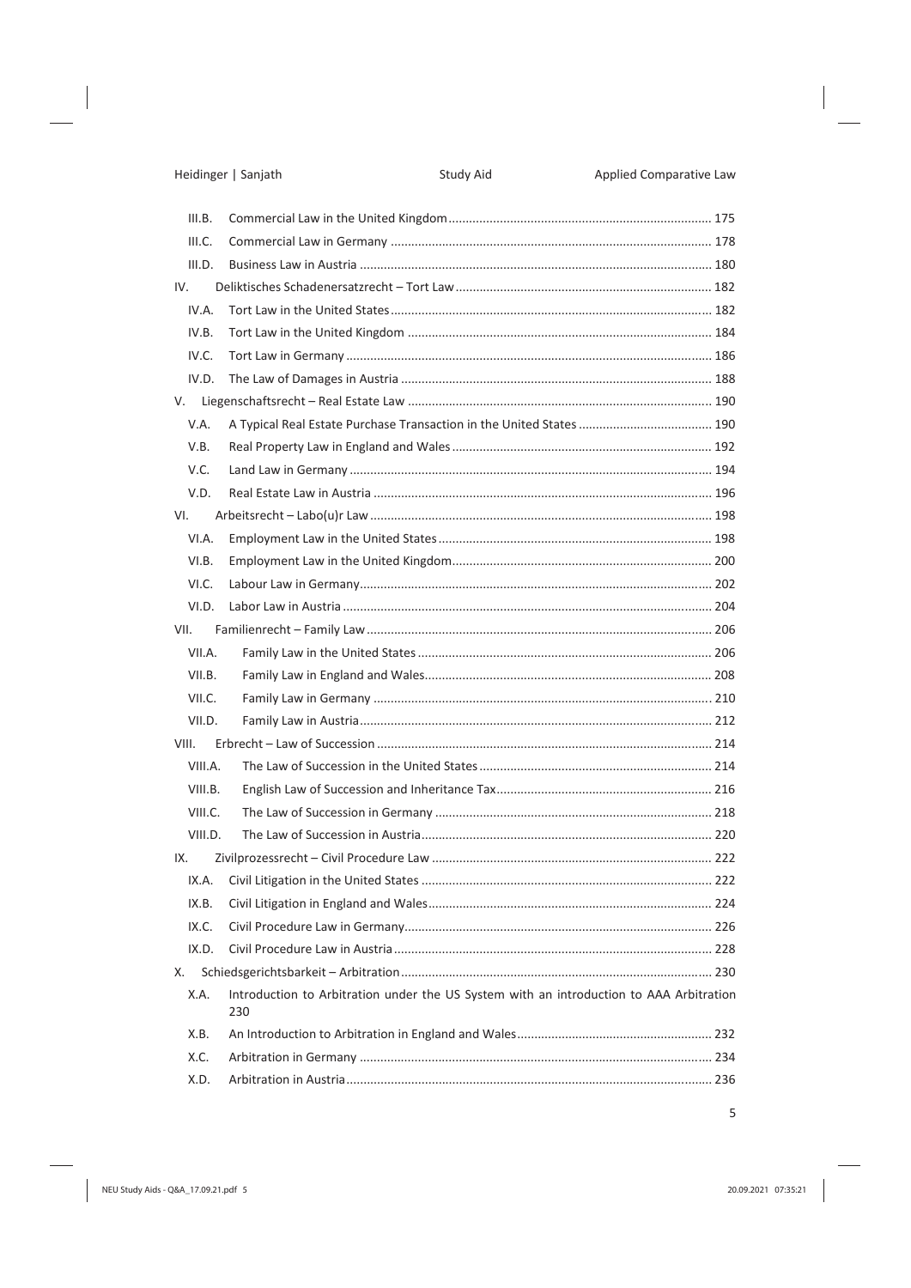|      | III.B.  |                                                                                                |  |
|------|---------|------------------------------------------------------------------------------------------------|--|
|      | III.C.  |                                                                                                |  |
|      | III.D.  |                                                                                                |  |
|      | IV.     |                                                                                                |  |
|      | IV.A.   |                                                                                                |  |
|      | IV.B.   |                                                                                                |  |
|      | IV.C.   |                                                                                                |  |
|      | IV.D.   |                                                                                                |  |
|      |         |                                                                                                |  |
|      | V.A.    |                                                                                                |  |
|      | V.B.    |                                                                                                |  |
|      | V.C.    |                                                                                                |  |
|      | V.D.    |                                                                                                |  |
|      | VI.     |                                                                                                |  |
|      | VI.A.   |                                                                                                |  |
|      | VI.B.   |                                                                                                |  |
|      | VLC.    |                                                                                                |  |
|      | VI.D.   |                                                                                                |  |
| VII. |         |                                                                                                |  |
|      | VII.A.  |                                                                                                |  |
|      | VII.B.  |                                                                                                |  |
|      | VII.C.  |                                                                                                |  |
|      | VII.D.  |                                                                                                |  |
|      | VIII.   |                                                                                                |  |
|      | VIII.A. |                                                                                                |  |
|      | VIII.B. |                                                                                                |  |
|      | VIII.C. |                                                                                                |  |
|      | VIII.D. |                                                                                                |  |
| IX.  |         |                                                                                                |  |
|      | IX.A.   |                                                                                                |  |
|      | IX.B.   |                                                                                                |  |
|      | IX.C.   |                                                                                                |  |
|      | IX.D.   |                                                                                                |  |
| Х.   |         |                                                                                                |  |
|      | X.A.    | Introduction to Arbitration under the US System with an introduction to AAA Arbitration<br>230 |  |
|      | X.B.    |                                                                                                |  |
|      | X.C.    |                                                                                                |  |
|      | X.D.    |                                                                                                |  |
|      |         |                                                                                                |  |